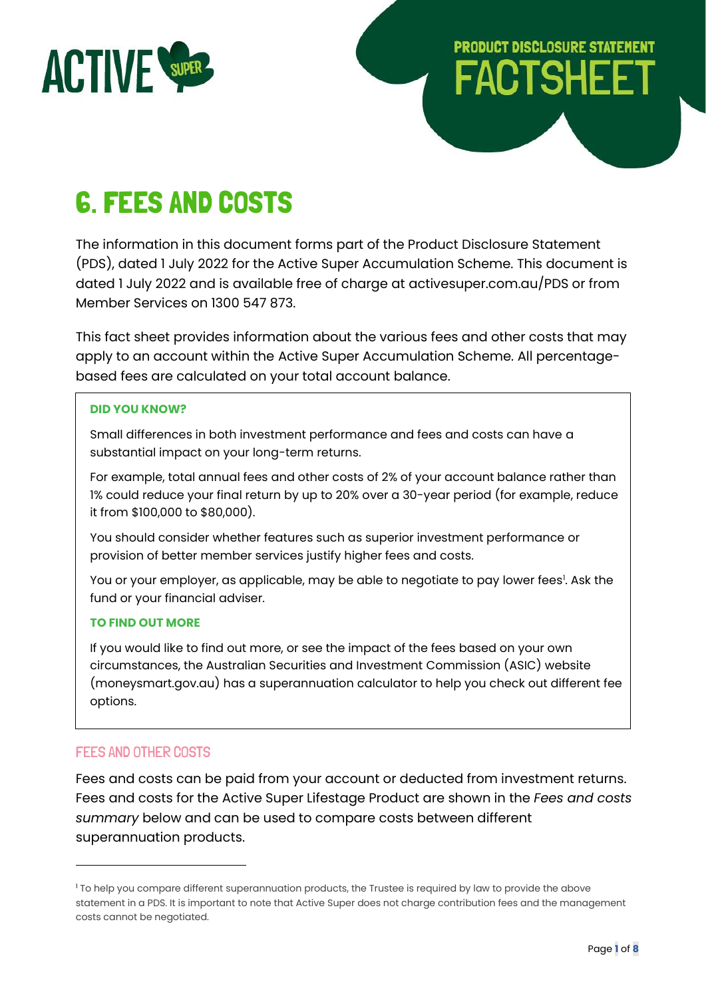

# **PRODUCT DISCLOSURE STATEMENT FACTSHEE**

# 6. FEES AND COSTS

The information in this document forms part of the Product Disclosure Statement (PDS), dated 1 July 2022 for the Active Super Accumulation Scheme. This document is dated 1 July 2022 and is available free of charge at activesuper.com.au/PDS or from Member Services on 1300 547 873.

This fact sheet provides information about the various fees and other costs that may apply to an account within the Active Super Accumulation Scheme. All percentagebased fees are calculated on your total account balance.

#### **DID YOU KNOW?**

Small differences in both investment performance and fees and costs can have a substantial impact on your long-term returns.

For example, total annual fees and other costs of 2% of your account balance rather than 1% could reduce your final return by up to 20% over a 30-year period (for example, reduce it from \$100,000 to \$80,000).

You should consider whether features such as superior investment performance or provision of better member services justify higher fees and costs.

You or your employer, as applicable, may be able to negotiate to pay lower fees<sup>1</sup>. Ask the fund or your financial adviser.

#### **TO FIND OUT MORE**

If you would like to find out more, or see the impact of the fees based on your own circumstances, the Australian Securities and Investment Commission (ASIC) website (moneysmart.gov.au) has a superannuation calculator to help you check out different fee options.

# FEES AND OTHER COSTS

Fees and costs can be paid from your account or deducted from investment returns. Fees and costs for the Active Super Lifestage Product are shown in the *Fees and costs summary* below and can be used to compare costs between different superannuation products.

<sup>&</sup>lt;sup>1</sup> To help you compare different superannuation products, the Trustee is required by law to provide the above statement in a PDS. It is important to note that Active Super does not charge contribution fees and the management costs cannot be negotiated.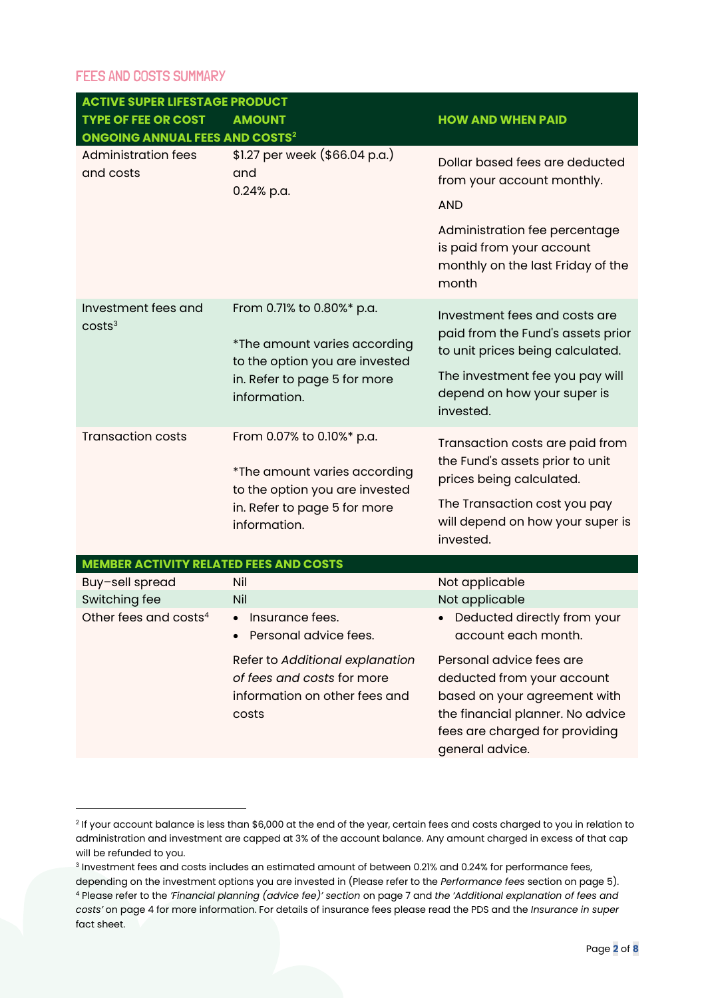#### FEES AND COSTS SUMMARY

| <b>ACTIVE SUPER LIFESTAGE PRODUCT</b>            |                                                                                                                                             |                                                                                                                                                                                 |  |  |
|--------------------------------------------------|---------------------------------------------------------------------------------------------------------------------------------------------|---------------------------------------------------------------------------------------------------------------------------------------------------------------------------------|--|--|
| <b>TYPE OF FEE OR COST</b>                       | <b>AMOUNT</b>                                                                                                                               | <b>HOW AND WHEN PAID</b>                                                                                                                                                        |  |  |
| <b>ONGOING ANNUAL FEES AND COSTS<sup>2</sup></b> |                                                                                                                                             |                                                                                                                                                                                 |  |  |
| <b>Administration fees</b><br>and costs          | \$1.27 per week (\$66.04 p.a.)<br>and<br>0.24% p.a.                                                                                         | Dollar based fees are deducted<br>from your account monthly.<br><b>AND</b><br>Administration fee percentage<br>is paid from your account                                        |  |  |
|                                                  |                                                                                                                                             | monthly on the last Friday of the<br>month                                                                                                                                      |  |  |
| Investment fees and<br>costs <sup>3</sup>        | From 0.71% to 0.80%* p.a.<br>*The amount varies according<br>to the option you are invested<br>in. Refer to page 5 for more<br>information. | Investment fees and costs are<br>paid from the Fund's assets prior<br>to unit prices being calculated.                                                                          |  |  |
|                                                  |                                                                                                                                             | The investment fee you pay will<br>depend on how your super is<br>invested.                                                                                                     |  |  |
| <b>Transaction costs</b>                         | From 0.07% to 0.10%* p.a.<br>*The amount varies according<br>to the option you are invested                                                 | Transaction costs are paid from<br>the Fund's assets prior to unit<br>prices being calculated.                                                                                  |  |  |
|                                                  | in. Refer to page 5 for more<br>information.                                                                                                | The Transaction cost you pay<br>will depend on how your super is<br>invested.                                                                                                   |  |  |
| <b>MEMBER ACTIVITY RELATED FEES AND COSTS</b>    |                                                                                                                                             |                                                                                                                                                                                 |  |  |
| Buy-sell spread                                  | Nil                                                                                                                                         | Not applicable                                                                                                                                                                  |  |  |
| Switching fee                                    | Nil                                                                                                                                         | Not applicable                                                                                                                                                                  |  |  |
| Other fees and costs <sup>4</sup>                | Insurance fees.<br>Personal advice fees.                                                                                                    | Deducted directly from your<br>account each month.                                                                                                                              |  |  |
|                                                  | Refer to Additional explanation<br>of fees and costs for more<br>information on other fees and<br>costs                                     | Personal advice fees are<br>deducted from your account<br>based on your agreement with<br>the financial planner. No advice<br>fees are charged for providing<br>general advice. |  |  |

<sup>2</sup> If your account balance is less than \$6,000 at the end of the year, certain fees and costs charged to you in relation to administration and investment are capped at 3% of the account balance. Any amount charged in excess of that cap will be refunded to you.

 $^{\rm 3}$  Investment fees and costs includes an estimated amount of between 0.21% and 0.24% for performance fees, depending on the investment options you are invested in (Please refer to the *Performance fees* section on page 5). <sup>4</sup> Please refer to the *'Financial planning (advice fee)' section* on page 7 and *the 'Additional explanation of fees and costs'* on page 4 for more information. For details of insurance fees please read the PDS and the *Insurance in super* fact sheet.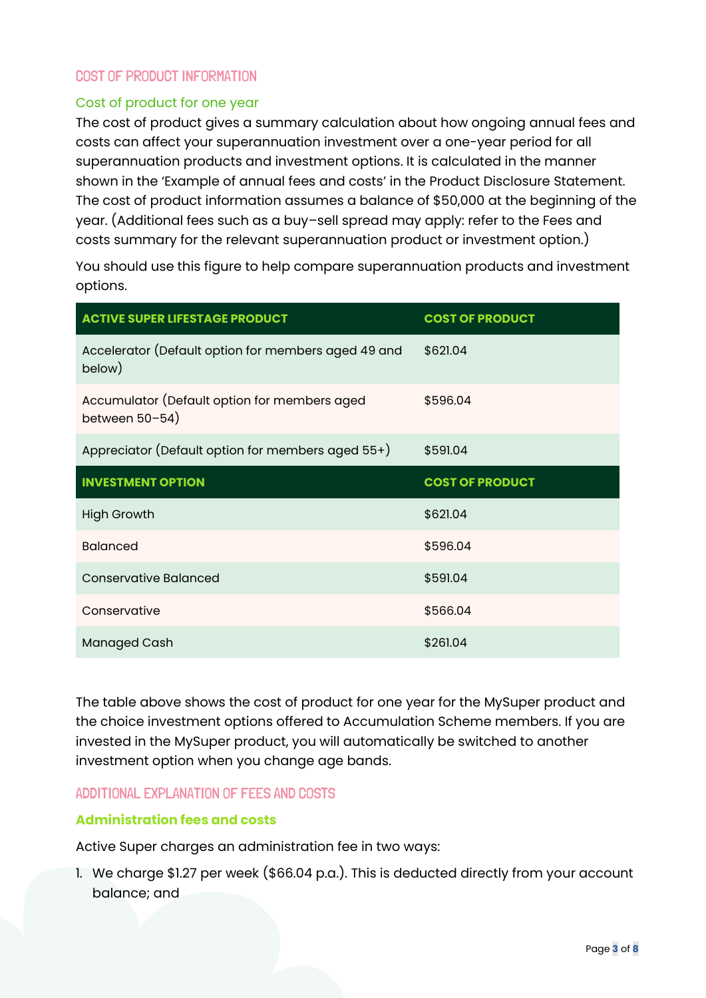# COST OF PRODUCT INFORMATION

### Cost of product for one year

The cost of product gives a summary calculation about how ongoing annual fees and costs can affect your superannuation investment over a one-year period for all superannuation products and investment options. It is calculated in the manner shown in the 'Example of annual fees and costs' in the Product Disclosure Statement. The cost of product information assumes a balance of \$50,000 at the beginning of the year. (Additional fees such as a buy–sell spread may apply: refer to the Fees and costs summary for the relevant superannuation product or investment option.)

You should use this figure to help compare superannuation products and investment options.

| <b>ACTIVE SUPER LIFESTAGE PRODUCT</b>                               | <b>COST OF PRODUCT</b> |
|---------------------------------------------------------------------|------------------------|
| Accelerator (Default option for members aged 49 and<br>below)       | \$621.04               |
| Accumulator (Default option for members aged<br>between $50 - 54$ ) | \$596.04               |
| Appreciator (Default option for members aged 55+)                   | \$591.04               |
| <b>INVESTMENT OPTION</b>                                            | <b>COST OF PRODUCT</b> |
|                                                                     |                        |
| <b>High Growth</b>                                                  | \$621.04               |
| <b>Balanced</b>                                                     | \$596.04               |
| <b>Conservative Balanced</b>                                        | \$591.04               |
| Conservative                                                        | \$566.04               |

The table above shows the cost of product for one year for the MySuper product and the choice investment options offered to Accumulation Scheme members. If you are invested in the MySuper product, you will automatically be switched to another investment option when you change age bands.

#### ADDITIONAL EXPLANATION OF FEES AND COSTS

## **Administration fees and costs**

Active Super charges an administration fee in two ways:

1. We charge \$1.27 per week (\$66.04 p.a.). This is deducted directly from your account balance; and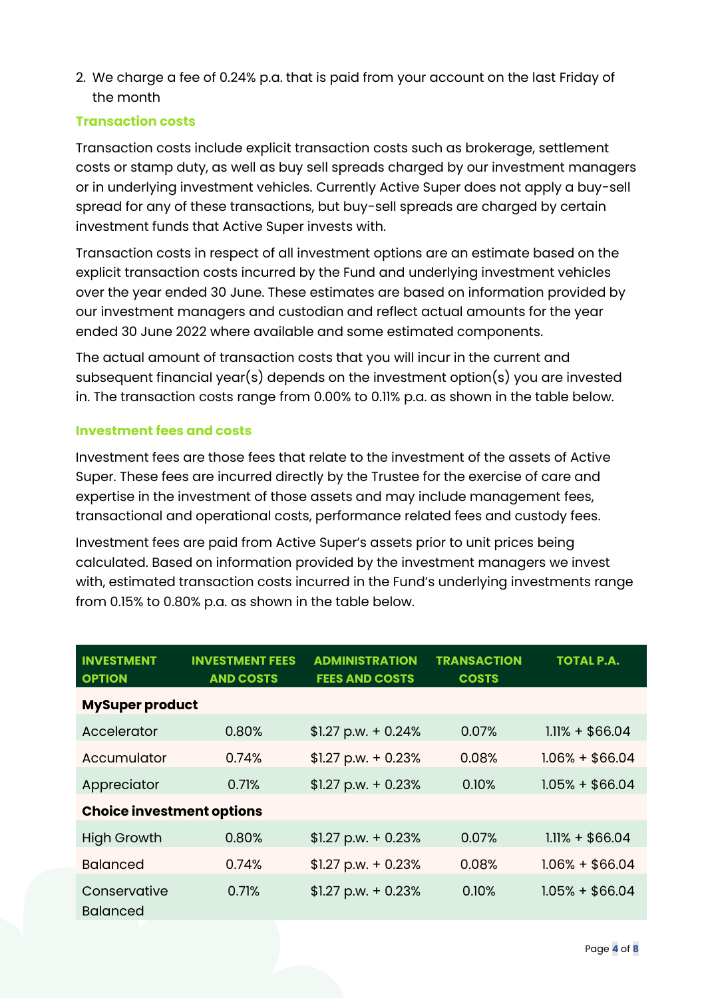2. We charge a fee of 0.24% p.a. that is paid from your account on the last Friday of the month

## **Transaction costs**

Transaction costs include explicit transaction costs such as brokerage, settlement costs or stamp duty, as well as buy sell spreads charged by our investment managers or in underlying investment vehicles. Currently Active Super does not apply a buy-sell spread for any of these transactions, but buy-sell spreads are charged by certain investment funds that Active Super invests with.

Transaction costs in respect of all investment options are an estimate based on the explicit transaction costs incurred by the Fund and underlying investment vehicles over the year ended 30 June. These estimates are based on information provided by our investment managers and custodian and reflect actual amounts for the year ended 30 June 2022 where available and some estimated components.

The actual amount of transaction costs that you will incur in the current and subsequent financial year(s) depends on the investment option(s) you are invested in. The transaction costs range from 0.00% to 0.11% p.a. as shown in the table below.

# **Investment fees and costs**

Investment fees are those fees that relate to the investment of the assets of Active Super. These fees are incurred directly by the Trustee for the exercise of care and expertise in the investment of those assets and may include management fees, transactional and operational costs, performance related fees and custody fees.

Investment fees are paid from Active Super's assets prior to unit prices being calculated. Based on information provided by the investment managers we invest with, estimated transaction costs incurred in the Fund's underlying investments range from 0.15% to 0.80% p.a. as shown in the table below.

| <b>INVESTMENT</b><br><b>OPTION</b> | <b>INVESTMENT FEES</b><br><b>AND COSTS</b> | <b>ADMINISTRATION</b><br><b>FEES AND COSTS</b> | <b>TRANSACTION</b><br><b>COSTS</b> | <b>TOTAL P.A.</b> |
|------------------------------------|--------------------------------------------|------------------------------------------------|------------------------------------|-------------------|
| <b>MySuper product</b>             |                                            |                                                |                                    |                   |
| Accelerator                        | 0.80%                                      | $$1.27$ p.w. + 0.24%                           | 0.07%                              | $1.11% + $66.04$  |
| Accumulator                        | 0.74%                                      | $$1.27$ p.w. + 0.23%                           | 0.08%                              | $1.06\% + $66.04$ |
| Appreciator                        | 0.71%                                      | $$1.27$ p.w. + 0.23%                           | 0.10%                              | $1.05% + $66.04$  |
| <b>Choice investment options</b>   |                                            |                                                |                                    |                   |
| <b>High Growth</b>                 | 0.80%                                      | $$1.27$ p.w. + 0.23%                           | 0.07%                              | $1.11% + $66.04$  |
| <b>Balanced</b>                    | 0.74%                                      | $$1.27$ p.w. + 0.23%                           | 0.08%                              | $1.06\% + $66.04$ |
| Conservative<br><b>Balanced</b>    | 0.71%                                      | $$1.27$ p.w. + 0.23%                           | 0.10%                              | $1.05% + $66.04$  |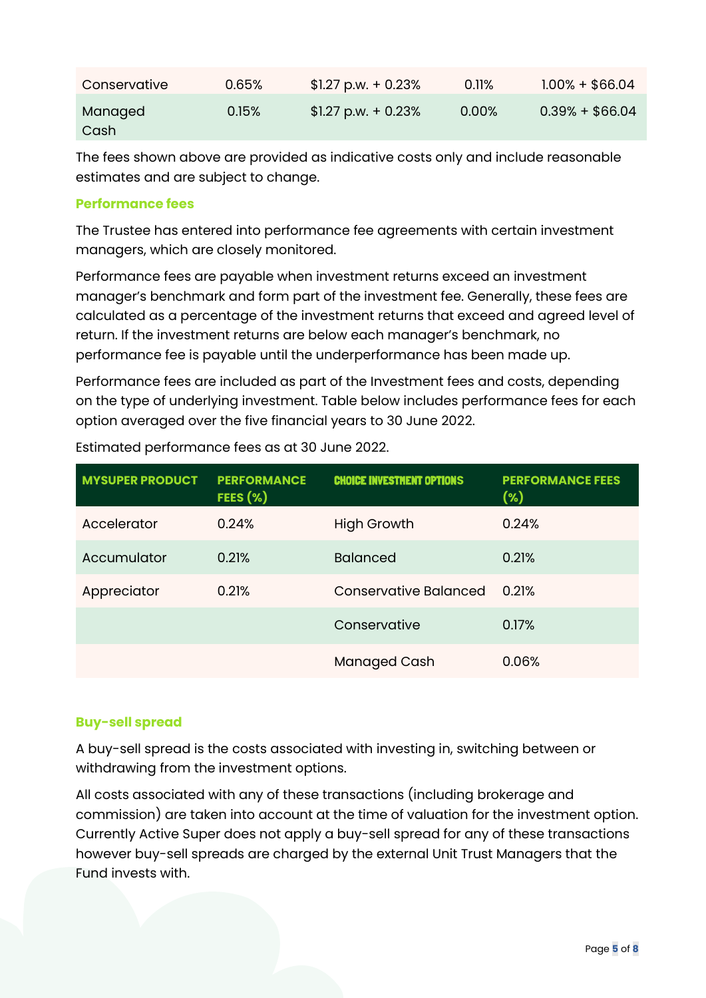| Conservative    | 0.65% | $$1.27$ p.w. + 0.23% | 0.11% | $1.00\% + $66.04$ |
|-----------------|-------|----------------------|-------|-------------------|
| Managed<br>Cash | 0.15% | $$1.27$ p.w. + 0.23% | 0.00% | $0.39% + $66.04$  |

The fees shown above are provided as indicative costs only and include reasonable estimates and are subject to change.

## **Performance fees**

The Trustee has entered into performance fee agreements with certain investment managers, which are closely monitored.

Performance fees are payable when investment returns exceed an investment manager's benchmark and form part of the investment fee. Generally, these fees are calculated as a percentage of the investment returns that exceed and agreed level of return. If the investment returns are below each manager's benchmark, no performance fee is payable until the underperformance has been made up.

Performance fees are included as part of the Investment fees and costs, depending on the type of underlying investment. Table below includes performance fees for each option averaged over the five financial years to 30 June 2022.

| <b>MYSUPER PRODUCT</b> | <b>PERFORMANCE</b><br>FEES $(\%)$ | <b>CHOICE INVESTMENT OPTIONS</b> | <b>PERFORMANCE FEES</b><br>(%) |
|------------------------|-----------------------------------|----------------------------------|--------------------------------|
| Accelerator            | 0.24%                             | <b>High Growth</b>               | 0.24%                          |
| Accumulator            | 0.21%                             | <b>Balanced</b>                  | 0.21%                          |
| Appreciator            | 0.21%                             | Conservative Balanced            | 0.21%                          |
|                        |                                   | Conservative                     | 0.17%                          |
|                        |                                   | <b>Managed Cash</b>              | 0.06%                          |

Estimated performance fees as at 30 June 2022.

# **Buy-sell spread**

A buy-sell spread is the costs associated with investing in, switching between or withdrawing from the investment options.

All costs associated with any of these transactions (including brokerage and commission) are taken into account at the time of valuation for the investment option. Currently Active Super does not apply a buy-sell spread for any of these transactions however buy-sell spreads are charged by the external Unit Trust Managers that the Fund invests with.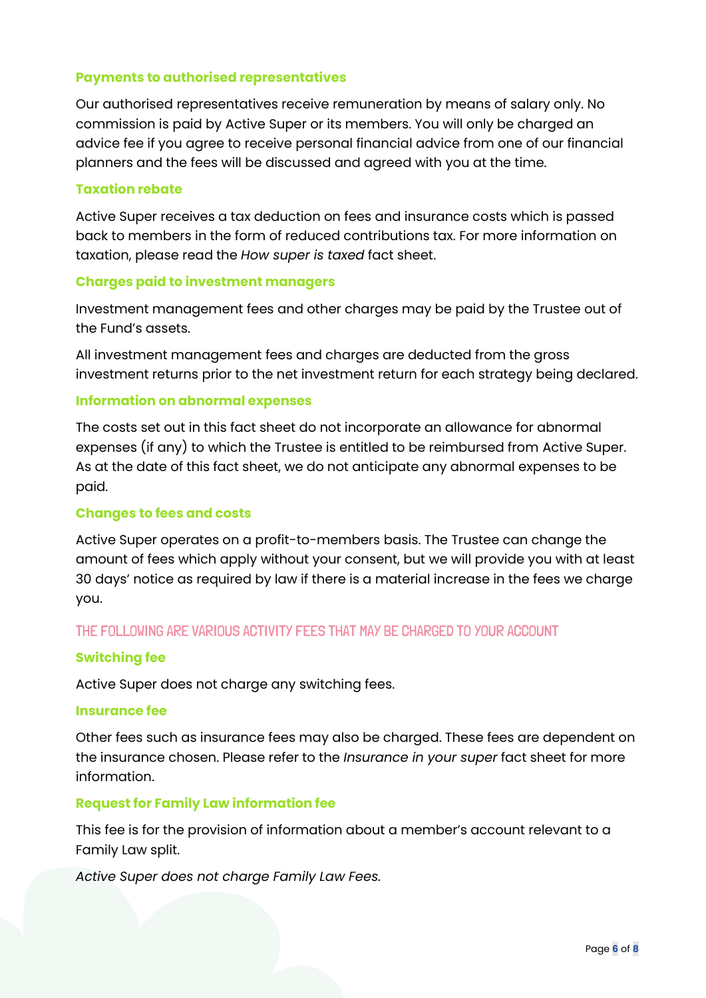### **Payments to authorised representatives**

Our authorised representatives receive remuneration by means of salary only. No commission is paid by Active Super or its members. You will only be charged an advice fee if you agree to receive personal financial advice from one of our financial planners and the fees will be discussed and agreed with you at the time.

#### **Taxation rebate**

Active Super receives a tax deduction on fees and insurance costs which is passed back to members in the form of reduced contributions tax. For more information on taxation, please read the *How super is taxed* fact sheet.

#### **Charges paid to investment managers**

Investment management fees and other charges may be paid by the Trustee out of the Fund's assets.

All investment management fees and charges are deducted from the gross investment returns prior to the net investment return for each strategy being declared.

#### **Information on abnormal expenses**

The costs set out in this fact sheet do not incorporate an allowance for abnormal expenses (if any) to which the Trustee is entitled to be reimbursed from Active Super. As at the date of this fact sheet, we do not anticipate any abnormal expenses to be paid.

#### **Changes to fees and costs**

Active Super operates on a profit-to-members basis. The Trustee can change the amount of fees which apply without your consent, but we will provide you with at least 30 days' notice as required by law if there is a material increase in the fees we charge you.

## THE FOLLOWING ARE VARIOUS ACTIVITY FEES THAT MAY BE CHARGED TO YOUR ACCOUNT

#### **Switching fee**

Active Super does not charge any switching fees.

#### **Insurance fee**

Other fees such as insurance fees may also be charged. These fees are dependent on the insurance chosen. Please refer to the *Insurance in your super* fact sheet for more information.

#### **Request for Family Law information fee**

This fee is for the provision of information about a member's account relevant to a Family Law split.

*Active Super does not charge Family Law Fees.*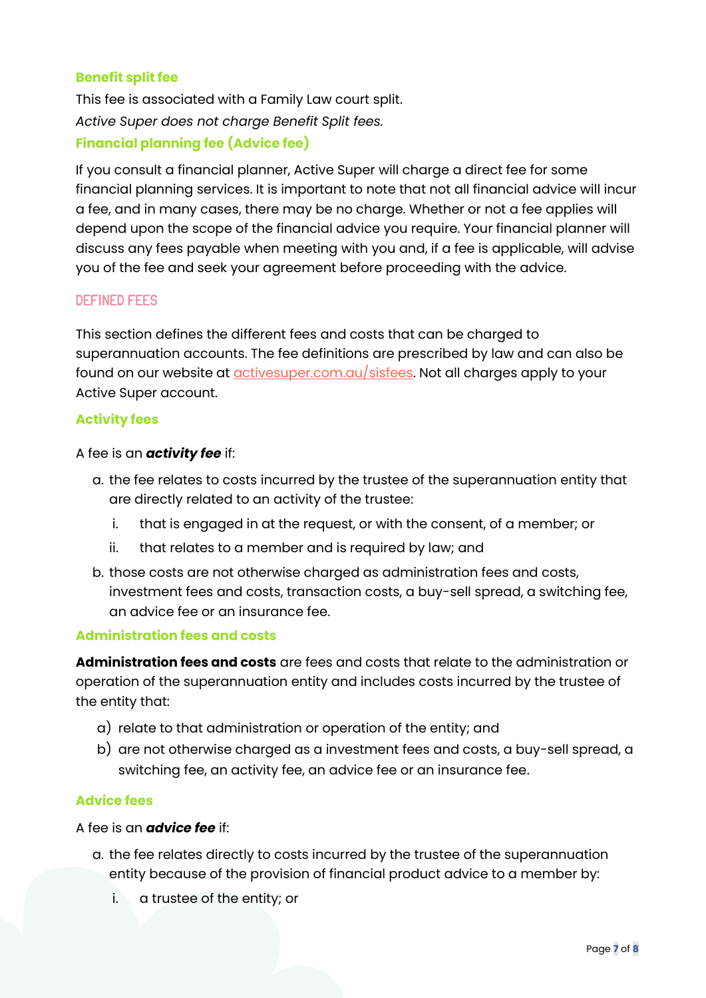## **Benefit split fee**

This fee is associated with a Family Law court split. *Active Super does not charge Benefit Split fees.* **Financial planning fee (Advice fee)**

If you consult a financial planner, Active Super will charge a direct fee for some financial planning services. It is important to note that not all financial advice will incur a fee, and in many cases, there may be no charge. Whether or not a fee applies will depend upon the scope of the financial advice you require. Your financial planner will discuss any fees payable when meeting with you and, if a fee is applicable, will advise you of the fee and seek your agreement before proceeding with the advice.

## DEFINED FEES

This section defines the different fees and costs that can be charged to superannuation accounts. The fee definitions are prescribed by law and can also be found on our website at **activesuper.com.au/sisfees**. Not all charges apply to your Active Super account.

## **Activity fees**

A fee is an *activity fee* if:

- a. the fee relates to costs incurred by the trustee of the superannuation entity that are directly related to an activity of the trustee:
	- i. that is engaged in at the request, or with the consent, of a member; or
	- ii. that relates to a member and is required by law; and
- b. those costs are not otherwise charged as administration fees and costs, investment fees and costs, transaction costs, a buy-sell spread, a switching fee, an advice fee or an insurance fee.

## **Administration fees and costs**

**Administration fees and costs** are fees and costs that relate to the administration or operation of the superannuation entity and includes costs incurred by the trustee of the entity that:

- a) relate to that administration or operation of the entity; and
- b) are not otherwise charged as a investment fees and costs, a buy-sell spread, a switching fee, an activity fee, an advice fee or an insurance fee.

## **Advice fees**

#### A fee is an *advice fee* if:

- a. the fee relates directly to costs incurred by the trustee of the superannuation entity because of the provision of financial product advice to a member by:
	- i. a trustee of the entity; or